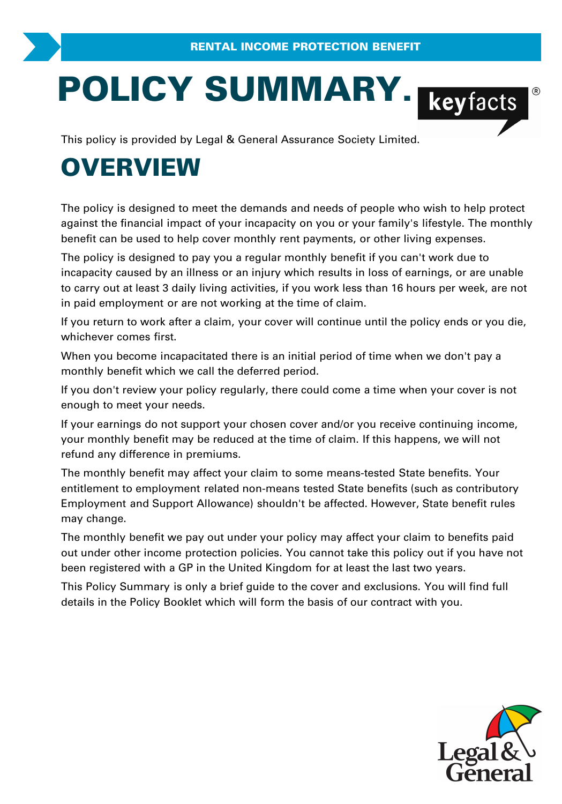# **POLICY SUMMARY.**<br>
This policy is provided by Legal & General Assurance Society Limited.

# **OVERVIEW**

The policy is designed to meet the demands and needs of people who wish to help prote against the financial impact of your incapacity on you or your family's lifestyle. The mon<br>benefit can be used to help cover monthly ren The policy is designed to meet the demands and needs of people who wish to help protect against the financial impact of your incapacity on you or your family's lifestyle. The monthly benefit can be used to help cover monthly rent payments, or other living expenses.

incapacity caused by an illness or an injury which results in loss of earnings, or are unable against the financial impact of your incapacity on you or your family's lifestyle. The monthly<br>benefit can be used to help cover monthly rent payments, or other living expenses.<br>The policy is designed to pay you a regular in paid employment or are not working at the time of claim. The policy is designed to pay you a regular monthly benefit if you can't work due to<br>incapacity caused by an illness or an injury which results in loss of earnings, or are unable<br>to carry out at least 3 daily living activi

whichever comes first.

When you become incapacitated there is an initial period of time when we don't pay a monthly benefit which we call the deferred period.

If you don't review your policy regularly, there could come a time when your cover is not enough to meet your needs.

If your earnings do not support your chosen cover and/or you receive continuing income, your monthly benefit may be reduced at the time of claim. If this happens, we will not refund any difference in premiums.

The monthly benefit may affect your claim to some means-tested State benefits. Your entitlement to employment related non-means tested State benefits (such as contributory Employment and Support Allowance) shouldn't be affected. However, State benefit rules may change.

The monthly benefit we pay out under your policy may affect your claim to benefits paid out under other income protection policies. You cannot take this policy out if you have not Employment and Support Allowance) shouldn't be affected. However, State benefit<br>may change.<br>The monthly benefit we pay out under your policy may affect your claim to benefits<br>out under other income protection policies. You The monthly benefit we pay out under your policy may affect your claim to benefits paid<br>out under other income protection policies. You cannot take this policy out if you have not<br>been registered with a GP in the United Ki

details in the Policy Booklet which will form the basis of our contract with you.

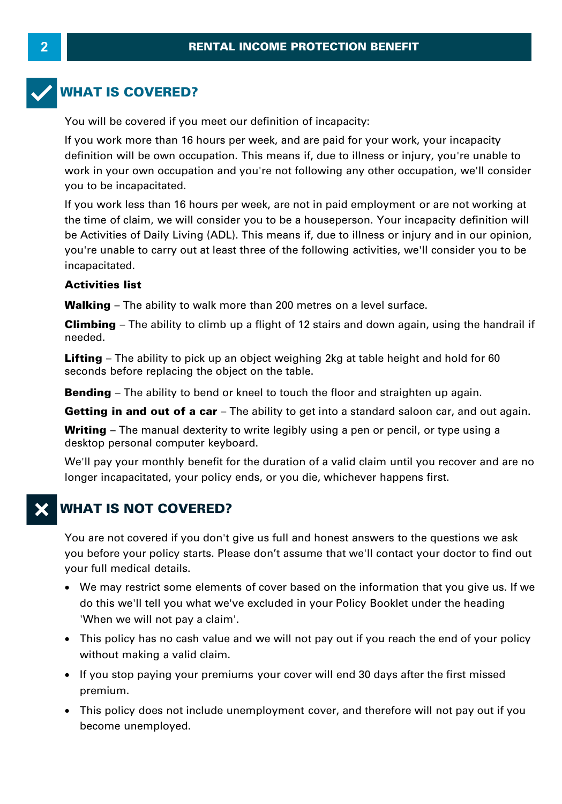# **WHAT IS COVERED?**

You will be covered if you meet our definition of incapacity:

If you work more than 16 hours per week, and are paid for your work, your incapacity definition will be own occupation. This means if, due to illness or injury, you're unable to work in your own occupation and you're not following any other occupation, we'll consider you to be incapacitated.

If you work less than 16 hours per week, are not in paid employment or are not working at definition will be own occupation. This means if, due to illness or injury, you're unable to<br>work in your own occupation and you're not following any other occupation, we'll consider<br>you to be incapacitated.<br>If you work le be Activities of Daily Living (ADL). This means if, due to illness or injury and in our opinion, you're unable to carry out at least three of the following activities, we'll consider you to be incapacitated. **Walking – The ability to walk more than 200 metres on a level surface.<br>
<b>Activities list**<br> **Walking – The ability to walk more than 200 metres on a level surface.**<br> **Climbing – The ability to climb up a flight of 12 stair** 

#### **Activities list**

incapacitated.<br>**Activities list**<br>Walking – The ability to walk more than 200 metres on a level surface.<br>Climbing – The ability to climb up a flight of 12 stairs and down again, using the handrail if<br>needed. needed.

**Lifting** – The ability to pick up an object weighing 2kg at table height and hold for 60 seconds before replacing the object on the table. **Bending** – The ability to bility up an object weighing 2kg at table height and hold for 60 seconds before replacing the object on the table.<br>**Bending** – The ability to bend or kneel to touch the floor and straighten up ag

**Bending** – The ability to bend or kneel to touch the floor and straighten up again.<br>**Getting in and out of a car** – The ability to get into a standard saloon car, and out again.

seconds before replacing the object on the table.<br>**Bending** – The ability to bend or kneel to touch the floor and straighten up again.<br>**Getting in and out of a car** – The ability to get into a standard saloon car, and out desktop personal computer keyboard.

**Getting in and out of a car** – The ability to get into a standard saloon car, and out again.<br> **Writing** – The manual dexterity to write legibly using a pen or pencil, or type using a desktop personal computer keyboard.<br>
W longer incapacitated, your policy ends, or you die, whichever happens first.

# **WHAT IS NOT COVERED?**

You are not covered if you don't give us full and honest answers to the questions we ask you before your policy starts. Please don't assume that we'll contact your doctor to find out your full medical details.

- · We may restrict some elements of cover based on the information that you give us. If we do this we'll tell you what we've excluded in your Policy Booklet under the heading You before your policy starts. Please<br>Your full medical details.<br>• We may restrict some elements<br>do this we'll tell you what we've<br>"When we will not pay a claim".<br>• This policy has no cash value af we may restrict some elements of<br>do this we'll tell you what we've e<br>"When we will not pay a claim".<br>• This policy has no cash value and<br>without making a valid claim.<br>• If you stop paying your premiums
- This policy has no cash value and we will not pay out if you reach the end of your policy
- If you stop paying your premiums your cover will end 30 days after the first missed premium.
- · This policy does not include unemployment cover, and therefore will not pay out if you become unemployed.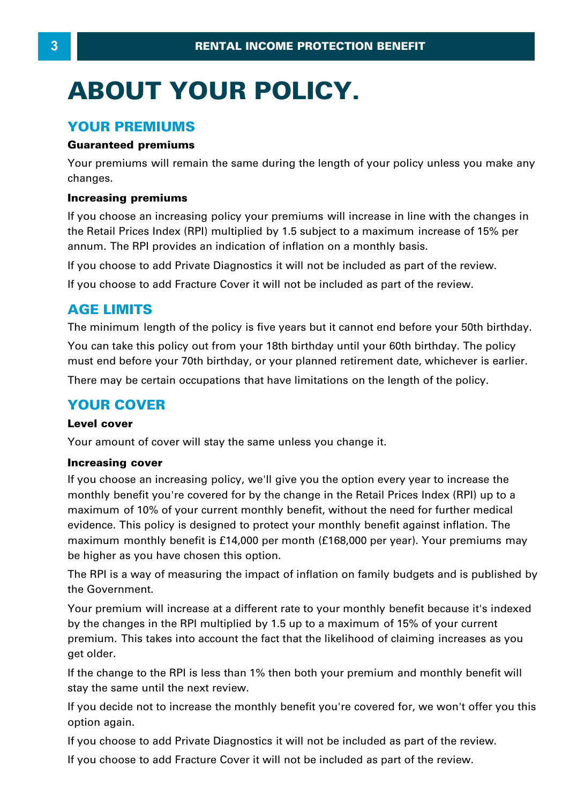# **ABOUT YOUR POLICY.**

#### **YOUR PREMIUMS**

#### **Guaranteed premiums**

Your premiums will remain the same during the length of your policy unless you make any changes.

#### **Increasing premiums**

If you choose an increasing policy your premiums will increase in line with the changes in Tour promains will tend it its same daring the longth of your policy amoss you make any<br>changes.<br>Increasing premiums<br>the Retail Prices Index (RPI) multiplied by 1.5 subject to a maximum increase of 15% per<br>annum. The RPI p **Increasing premiums**<br>If you choose an increasing policy your premiums will increase in line with<br>the Retail Prices Index (RPI) multiplied by 1.5 subject to a maximum increas<br>annum. The RPI provides an indication of inflat

If you choose to add Private Diagnostics it will not be included as part of the review.

If you choose to add Fracture Cover it will not be included as part of the review.

#### **AGE LIMITS**

The minimum length of the policy is five years but it cannot end before your 50th birthday.

You can take this policy out from your 18th birthday until your 60th birthday. The policy must end before your 70th birthday, or your planned retirement date, whichever is earlier.

There may be certain occupations that have limitations on the length of the policy.

## **YOUR COVER**

#### **Level cover**

Your amount of cover will stay the same unless you change it.

#### **Increasing cover**

If you choose an increasing policy, we'll give you the option every year to increase the monthly benefit you're covered for by the change in the Retail Prices Index (RPI) up to a maximum of 10% of your current monthly benefit, without the need for further medical evidence. This policy is designed to protect your monthly benefit against inflation. The maximum monthly benefit is £14,000 per month (£ 168,000 per year). Your premiums may be higher as you have chosen this option.

The RPI is a way of measuring the impact of inflation on family budgets and is published by the Government.

The RPI is a way of measuring the impact of inflation on family budgets and is published by<br>The RPI is a way of measuring the impact of inflation on family budgets and is published by<br>the Government.<br>Your premium will incr be higher as you have enseen and option.<br>The RPI is a way of measuring the impact of inflation on family budgets and is published<br>the Government.<br>Your premium will increase at a different rate to your monthly benefit becau premium. This takes into account the fact that the likelihood of claiming increases as you get older.

If the change to the RPI is less than 1% then both your premium and monthly benefit will stay the same until the next review.

If you decide not to increase the monthly benefit you're covered for, we won't offer you this option again.

If you choose to add Private Diagnostics it will not be included as part of the review.

If you choose to add Fracture Cover it will not be included as part of the review.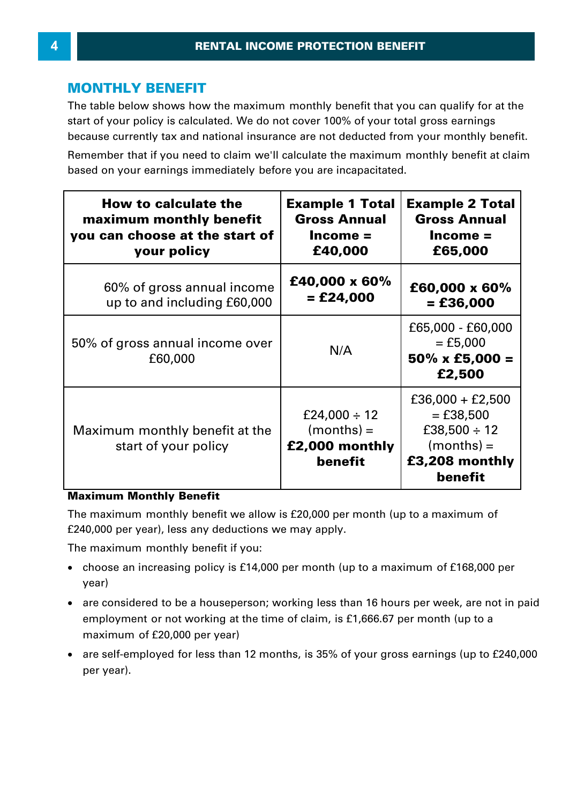## **MONTHLY BENEFIT**

The table below shows how the maximum monthly benefit that you can qualify for at the start of your policy is calculated. We do not cover 100% of your total gross earnings because currently tax and national insurance are not deducted from your monthly benefit.

| because currently tax and national insurance are not deducted from your monthly benefit.                                                                    |                                                                        |                                                                                                     |
|-------------------------------------------------------------------------------------------------------------------------------------------------------------|------------------------------------------------------------------------|-----------------------------------------------------------------------------------------------------|
| Remember that if you need to claim we'll calculate the maximum monthly benefit at claim<br>based on your earnings immediately before you are incapacitated. |                                                                        |                                                                                                     |
| How to calculate the<br>maximum monthly benefit<br>you can choose at the start of<br>your policy                                                            | <b>Example 1 Total</b><br><b>Gross Annual</b><br>$Income =$<br>£40,000 | <b>Example 2 Total</b><br><b>Gross Annual</b><br>$Income =$<br>£65,000                              |
| 60% of gross annual income<br>up to and including £60,000                                                                                                   | £40,000 x 60%<br>= £24,000                                             | £60,000 x 60%<br>$=$ £36,000                                                                        |
| 50% of gross annual income over<br>£60,000                                                                                                                  | N/A                                                                    | £65,000 - £60,000<br>$=$ £5,000<br>$50\% \times £5,000 =$<br>£2,500                                 |
| Maximum monthly benefit at the<br>start of your policy                                                                                                      | £24,000 $\div$ 12<br>$(months) =$<br>£2,000 monthly<br>benefit         | $£36,000 + £2,500$<br>$=$ £38,500<br>£38,500 $\div$ 12<br>$(months) =$<br>£3,208 monthly<br>benefit |

#### **Maximum Monthly Benefit**

The maximum monthly benefit we allow is £20,000 per month (up to a maximum of £240,000 per year), less any deductions we may apply.

The maximum monthly benefit if you:

- ·e maximum monthly benefit we allow is £20,000 per month (up to a maximum of<br>40,000 per year), less any deductions we may apply.<br>2 maximum monthly benefit if you:<br>choose an increasing policy is £14,000 per month (up to a ma year)
- are considered to be a houseperson; working less than 16 hours per week, are not in paid e maximum monthly benefit if you:<br>choose an increasing policy is £14,000 per month (up to a maximum of £168,000 per<br>year)<br>are considered to be a houseperson; working less than 16 hours per week, are not in paid<br>employment maximum of £20,000 per year)
- · are self-employed for less than 12 months, is 35% of your gross earnings (up to £240,000 per year).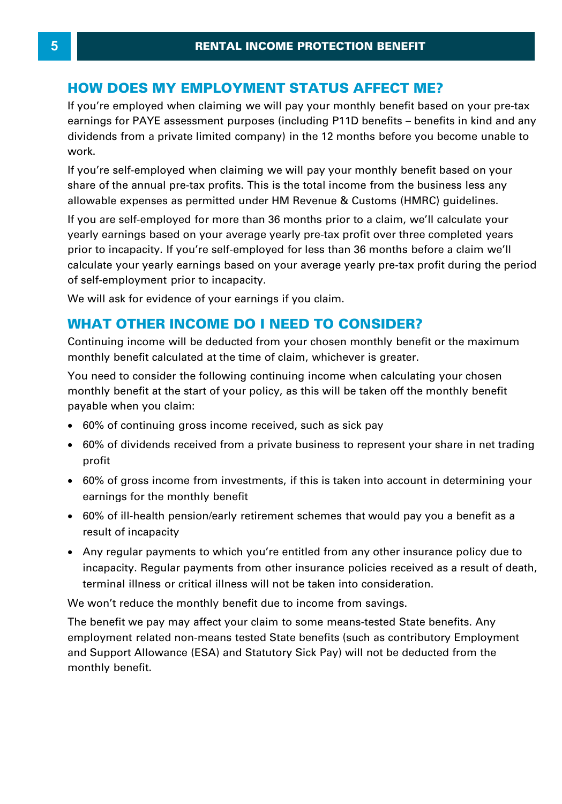## **HOW DOES MY EMPLOYMENT STATUS AFFECT ME?**

If you're employed when claiming we will pay your monthly benefit based on your pre-tax **HOW DOES MY EMPLOYMENT STATUS AFFECT ME?**<br>If you're employed when claiming we will pay your monthly benefit based on your pre-tax<br>earnings for PAYE assessment purposes (including P11D benefits – benefits in kind and any<br>d **HOW DOES MY EMPLOYMENT STATUS AFFECT ME?**<br>If you're employed when claiming we will pay your monthly benefit based on your pre-tax<br>earnings for PAYE assessment purposes (including P11D benefits – benefits in kind and any<br>d work.

If you're self-employed when claiming we will pay your monthly benefit based on your share of the annual pre-tax profits. This is the total income from the business less any dividends from a private limited company) in the 12 months before you become unable to<br>work.<br>If you're self-employed when claiming we will pay your monthly benefit based on your<br>share of the annual pre-tax profits. This is If you're self-employed when claiming we will pay your monthly benefit based on your<br>share of the annual pre-tax profits. This is the total income from the business less any<br>allowable expenses as permitted under HM Revenue

share of the annual pre-tax profits. This is the total income from the business less any<br>allowable expenses as permitted under HM Revenue & Customs (HMRC) guidelines.<br>If you are self-employed for more than 36 months prior of self-employment prior to incapacity. prior to incapacity. If you're self-employed for less than 36 months before a claim we'll<br>calculate your yearly earnings based on your average yearly pre-tax profit during the period<br>of self-employment prior to incapacity.

We will ask for evidence of your earnings if you claim.

monthly benefit calculated at the time of claim, whichever is greater.

You need to consider the following continuing income when calculating your chosen monthly benefit at the start of your policy, as this will be taken off the monthly benefit payable when you claim: from a mode to dividends received from a private with dividend from a problem with the monthly benefit at the start of your policy, as this will be taken off the monthly benefit vable when you claim:<br>60% of continuing gros

- · 60% of continuing gross income received, such as sick pay
- ·profit
- · 60% of gross income from investments, if this is taken into account in determining your earnings for the monthly benefit profit<br>60% of gross income from investments, if this is taken into account in determining your<br>earnings for the monthly benefit<br>60% of ill-health pension/early retirement schemes that would pay you a benefit as a<br>result of
- 60% of ill-health pension/early retirement schemes that would pay you a benefit as a result of incapacity
- · Any regular payments to which you're entitled from any other insurance policy due to 60% of ill-health pension/early retirement schemes that would pay you a benefit as a<br>result of incapacity<br>Any regular payments to which you're entitled from any other insurance policy due to<br>incapacity. Regular payments fr terminal illness or critical illness will not be taken into consideration.

We won't reduce the monthly benefit due to income from savings.

The benefit we pay may affect your claim to some means-tested State benefits. Any employment related non-means tested State benefits (such as contributory Employment and Support Allowance (ESA) and Statutory Sick Pay) will not be deducted from the monthly benefit.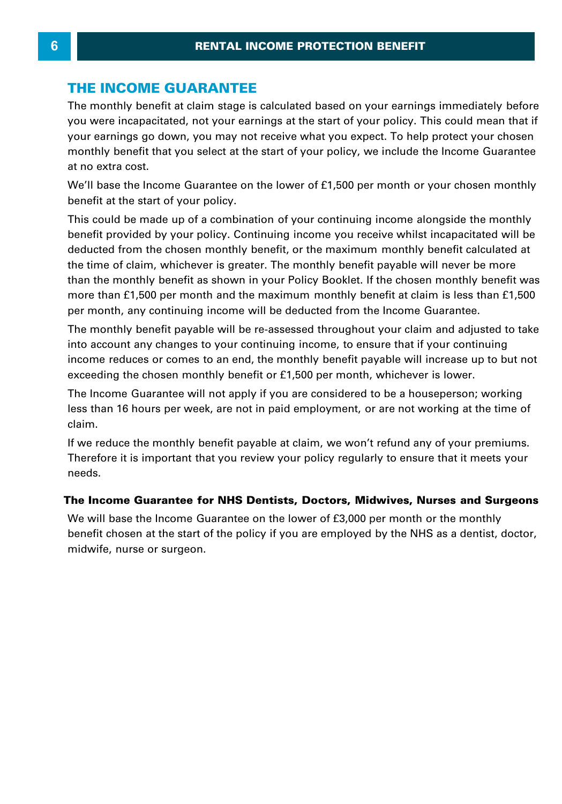## **THE INCOME GUARANTEE**

The monthly benefit at claim stage is calculated based on your earnings immediately before you were incapacitated, not your earnings at the start of your policy. This could mean that if your earnings go down, you may not receive what you expect. To help protect your chosen monthly benefit that you select at the start of your policy, we include the Income Guarantee at no extra cost.

We'll base the Income Guarantee on the lower of £1,500 per month or your chosen monthly benefit at the start of your policy.

This could be made up of a combination of your policy, we medde the medine diarance<br>We'll base the Income Guarantee on the lower of £1,500 per month or your chosen monthly<br>benefit at the start of your policy.<br>This could be benefit provided by your policy. Continuing income you receive whilst incapacitated will be deducted from the chosen monthly benefit, or the maximum monthly benefit calculated at the time of claim, whichever is greater. The monthly benefit payable will never be more than the monthly benefit as shown in your Policy Booklet. If the chosen monthly benefit was more than £1,500 per month and the maximum monthly benefit at claim is less than £1,500 per month, any continuing income will be deducted from the Income Guarantee.

The monthly benefit payable will be re-assessed throughout your claim and adjusted to take into account any changes to your continuing income, to ensure that if your continuing income reduces or comes to an end, the monthly benefit payable will increase up to but not exceeding the chosen monthly benefit or £1,500 per month, whichever is lower. The monthly benefit payable will be re-assessed throughout your claim and adjusted to take<br>into account any changes to your continuing income, to ensure that if your continuing<br>income reduces or comes to an end, the monthl

less than 16 hours per week, are not in paid employment, or are not working at the time of claim.

If we reduce the monthly benefit payable at claim, we won't refund any of your premiums. Therefore it is important that you review your policy regularly to ensure that it meets your needs.

#### **The Income Guarantee for NHS Dentists, Doctors, Midwives, Nurses and Surgeons**

We will base the Income Guarantee on the lower of £3,000 per month or the monthly needs.<br>The Income Guarantee for NHS Dentists, Doctors, Midwives, Nurses and Surgeons<br>We will base the Income Guarantee on the lower of £3,000 per month or the monthly<br>benefit chosen at the start of the policy if you are em midwife, nurse or surgeon.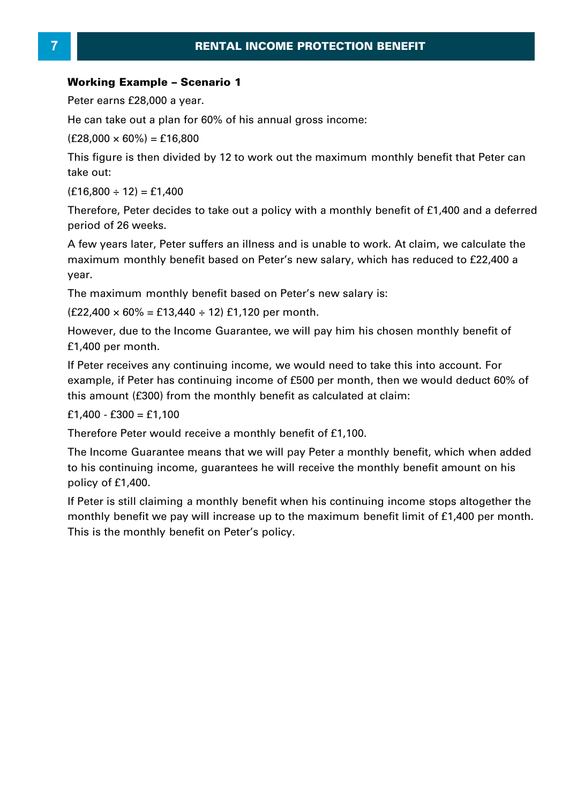# **RENTAL INCOME**<br>**Working Example – Scenario 1**<br>Peter earns £28,000 a year. **Peter Example - Scenario<br>Peter earns £28,000 a year.<br>Peter earns £28,000 a year.<br>He can take out a plan for 60% of Working Example – Scenari**<br>Peter earns £28,000 a year.<br>He can take out a plan for 60%<br>(£28,000 × 60%) = £16,800<br>This figure is then divided by 1

**Working Example – Scenario 1<br>Peter earns £28,000 a year.<br>He can take out a plan for 60% of his annual gross income:<br>(£28,000 × 60%) = £16,800** 

This figure is then divided by 12 to work out the maximum monthly benefit that Peter can take out:  $(f28,000 \times 60\%) = f16,800$ <br>This figure is then divided b<br>take out:<br> $(f16,800 \div 12) = f1,400$ <br>Therefore. Peter decides to

This figure is then divided by 12 to work out the maximum monthly benefit that Peter can<br>take out:<br>(£16,800 ÷ 12) = £1,400<br>Therefore, Peter decides to take out a policy with a monthly benefit of £1,400 and a deferred<br>peri period of 26 weeks.

(£16,800 ÷ 12) = £1,400<br>Therefore, Peter decides to take out a policy with a monthly benefit of £1,400 and a deferred<br>period of 26 weeks.<br>A few years later, Peter suffers an illness and is unable to work. At claim, we calc maximum monthly benefit based on Peter's new salary, which has reduced to £22,400 a year. Friew years fact, I eter suncts an imitess and is analyte to work. At elamit, we calculate the maximum monthly benefit based on Peter's new salary, which has reduced to £22,400 a year.<br>The maximum monthly benefit based on

The maximum monthly benefit based on Peter's new salary is:

£1,400 per month.

If Peter receives any continuing income, we would need to take this into account. For example, if Peter has continuing income, we would heed to take this life account. For example, if Peter has continuing income of £500 per month, then we would deduct 60% of this amount (£300) from the monthly benefit as ca this amount (£300) from the monthly benefit as calculated at claim: E1,400 per monument<br>If Peter receives any continexample, if Peter has contin<br>this amount (£300) from th<br>£1,400 - £300 = £1,100<br>Therefore Peter would rece

£1,400 - £300 = £1,100<br>Therefore Peter would receive a monthly benefit of £1,100.<br>The Income Guarantee means that we will pay Peter a monthly benefit, which when added to his continuing income, guarantees he will receive the monthly benefit amount on his policy of £1,400. The Income Guarantee means that we will pay Peter a monthly benefit, which when added<br>to his continuing income, guarantees he will receive the monthly benefit amount on his<br>policy of £1,400.<br>If Peter is still claiming a mo

This is the monthly benefit on Peter's policy.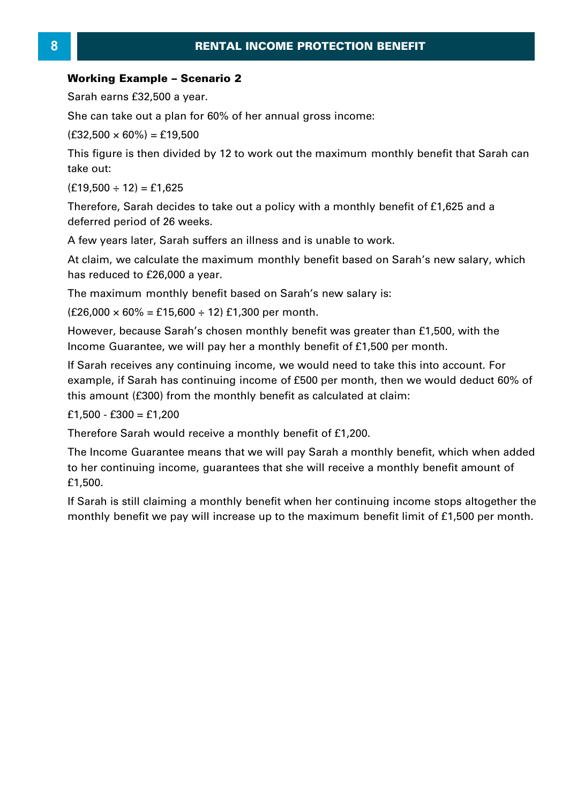# **Morking Example – Scenario 2<br>Working Example – Scenario 2<br>Sarah earns £32,500 a year. RENTA**<br> **Working Example – Scenario**<br>
Sarah earns £32,500 a year.<br>
She can take out a plan for 60% **Working Example – Scenari**<br>Sarah earns £32,500 a year.<br>She can take out a plan for 60%<br>(£32,500 × 60%) = £19,500<br>This figure is then divided by 1

Sarah earns £32,500 a year.<br>She can take out a plan for 60% of her annual gross income:<br>(£32.500 × 60%) = £19.500

This figure is then divided by 12 to work out the maximum monthly benefit that Sarah can take out:  $(f32,500 \times 60\%) = f19,500$ <br>This figure is then divided b<br>take out:<br> $(f19,500 \div 12) = f1,625$ <br>Therefore, Sarah decides to This figure is then divided by 12 to work out the maximum monthly benefit that Sarah can<br>take out:<br>(£19,500 ÷ 12) = £1,625<br>Therefore, Sarah decides to take out a policy with a monthly benefit of £1,625 and a<br>deferred peri

deferred period of 26 weeks.  $(f19,500 \div 12) = f1,625$ <br>Therefore, Sarah decides to take out a policy with a monthly benefit of £1,625 and a

At claim, we calculate the maximum monthly benefit based on Sarah's new salary, which A few years later, Sarah suffers an illness and is unable to work.<br>At claim, we calculate the maximum monthly benefit based on S<br>has reduced to £26,000 a year. At claim, we calculate the maximum monthly benefit based on Sarah's new salary, which<br>has reduced to £26,000 a year.<br>The maximum monthly benefit based on Sarah's new salary is:<br>(£26,000 × 60% = £15,600 ÷ 12) £1,300 per mon

The maximum monthly benefit based on Sarah's new salary is:

The maximum monthly benefit based on Sarah's new salary is:<br>(£26,000 × 60% = £15,600 ÷ 12) £1,300 per month.<br>However, because Sarah's chosen monthly benefit was greater than £1,500, wit<br>Income Guarantee, we will pay her a

If Sarah receives any continuing income, we would need to take this into account. For example, if Sarah has continuing income of £500 per month, then we would deduct 60% of this amount (£300) from the monthly benefit as calculated at claim:<br>
£1,500 - £300 = £1,200<br>
Therefore Sarah would receive a monthly be this amount (£300) from the monthly benefit as calculated at claim: If Sarah receives any continexample, if Sarah has continexample, if Sarah has continent<br>this amount (£300) from th<br>£1,500 - £300 = £1,200<br>Therefore Sarah would rec

this amount (£300) from the monthly benefit as calculated at claim:<br>£1,500 - £300 = £1,200<br>Therefore Sarah would receive a monthly benefit of £1,200.<br>The Income Guarantee means that we will pay Sarah a monthly benefit, whi f 1,500 - f 300 = f 1,200<br>Therefore Sarah would receive a monthly benefit of f 1,200.<br>The Income Guarantee means that we will pay Sarah a monthly benefit, which when added<br>to her continuing income, guarantees that she wil £1,500. Therefore Sarah would receive a monthly benefit of £1,200.<br>The Income Guarantee means that we will pay Sarah a monthly benefit, which when added<br>to her continuing income, guarantees that she will receive a monthly benefit

monthly benefit we pay will increase up to the maximum benefit limit of £1,500 per month.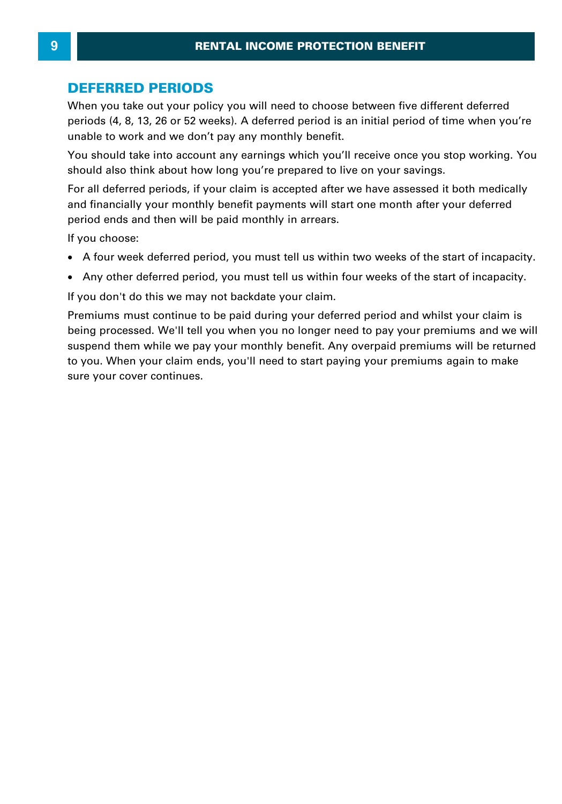#### **DEFERRED PERIODS**

When you take out your policy you will need to choose between five different deferred periods (4, 8, 13, 26 or 52 weeks). A deferred period is an initial period of time when you're unable to work and we don't pay any monthly benefit.

You should take into account any earnings which you'll receive once you stop working. You should also think about how long you're prepared to live on your savings.

For all deferred periods, if your claim is accepted after we have assessed it both medically and financially your monthly benefit payments will start one month after your deferred period ends and then will be paid monthly in arrears. A four week deferred period, you must tell us within two matter your deferred period ends and then will be paid monthly in arrears.<br>
If you choose:<br>
• A four week deferred period, you must tell us within two weeks of the s

If you choose:

- ·
- Any other deferred period, you must tell us within four weeks of the start of incapacity.

If you don't do this we may not backdate your claim.

Premiums must continue to be paid during your deferred period and whilst your claim is being processed. We'll tell you when you no longer need to pay your premiums and we will suspend them while we pay your monthly benefit. Any overpaid premiums will be returned to you. When your claim ends, you'll need to start paying your premiums again to make sure your cover continues.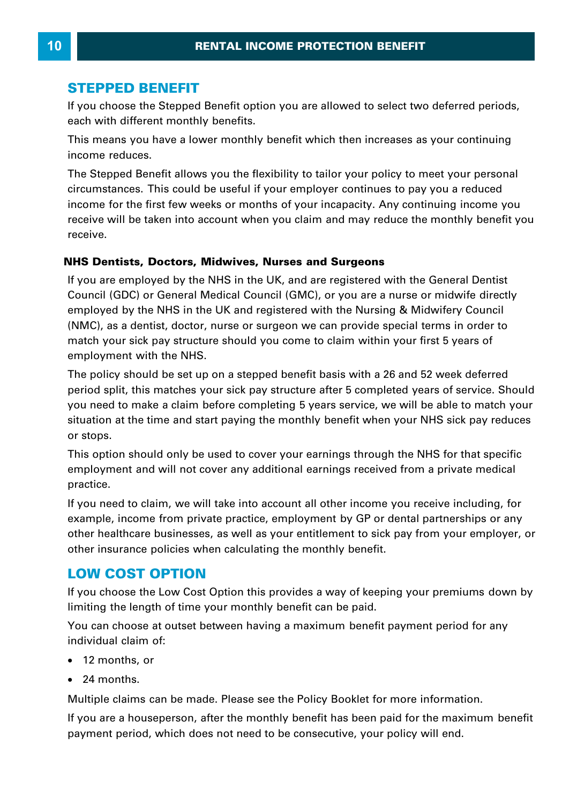#### **STEPPED BENEFIT**

If you choose the Stepped Benefit option you are allowed to select two deferred periods, each with different monthly benefits. **STEPPED BENEFIT**<br>If you choose the Stepped Benefit option you are allowed to select two deferred periods,<br>each with different monthly benefits.<br>This means you have a lower monthly benefit which then increases as your cont

income reduces.

The Stepped Benefit allows you the flexibility to tailor your policy to meet your personal Cach with different monthly benefit which then increases as your continuing<br>income reduces.<br>The Stepped Benefit allows you the flexibility to tailor your policy to meet your personal<br>circumstances. This could be useful if income for the first few weeks or months of your incapacity. Any continuing income you receive will be taken into account when you claim and may reduce the monthly benefit you receive.

#### **NHS Dentists, Doctors, Midwives, Nurses and Surgeons**

If you are employed by the NHS in the UK, and are registered with the General Dentist receive.<br>**VHS Dentists, Doctors, Midwives, Nurses and Surgeons**<br>If you are employed by the NHS in the UK, and are registered with the General Dentist<br>Council (GDC) or General Medical Council (GMC), or you are a nurse or mi **NHS Dentists, Doctors, Midwives, Nurses and Surgeons**<br>If you are employed by the NHS in the UK, and are registered with the General Dentist<br>Council (GDC) or General Medical Council (GMC), or you are a nurse or midwife dir **IFIS Dentists, Doctors, Midwives, Nurses and Surgeons**<br>If you are employed by the NHS in the UK, and are registered with the General Dentist<br>Council (GDC) or General Medical Council (GMC), or you are a nurse or midwife di If you are employed by the NHS in the UK, and are registered with the General Dentist<br>Council (GDC) or General Medical Council (GMC), or you are a nurse or midwife directly<br>employed by the NHS in the UK and registered with employment with the NHS. employed by the NHS in the UK and registered with the Nursing & Midwitery Council<br>(NMC), as a dentist, doctor, nurse or surgeon we can provide special terms in order to<br>match your sick pay structure should you come to clai

(NMC), as a dentist, doctor, nurse or surgeon we can provide special terms in order to<br>match your sick pay structure should you come to claim within your first 5 years of<br>employment with the NHS.<br>The policy should be set u match your sick pay structure should you come to claim within your first 5 years of<br>employment with the NHS.<br>The policy should be set up on a stepped benefit basis with a 26 and 52 week deferred<br>period split, this matches situation at the time and start paying the monthly benefit when your NHS sick pay reduces or stops.

This option should only be used to cover your earnings through the NHS for that specific you need to make a claim before completing 5 years service, we will be able to match your<br>situation at the time and start paying the monthly benefit when your NHS sick pay reduces<br>or stops.<br>This option should only be used practice.

If you need to claim, we will take into account all other income you receive including, for example, income from private practice, employment by GP or dental partnerships or any other healthcare businesses, as well as your entitlement to sick pay from your employer, or other insurance policies when calculating the monthly benefit. If you choose the Low Cost Option this provides a way of keeping your premiums down by<br>If you choose the Low Cost Option this provides a way of keeping your premiums down by<br>If you choose the Low Cost Option this provides

#### **LOW COST OPTION**

limiting the length of time your monthly benefit can be paid. **LOW COST OPTION**<br>If you choose the Low Cost Option this provides a way of keeping your premiums down by<br>limiting the length of time your monthly benefit can be paid.<br>You can choose at outset between having a maximum benef

individual claim of:

- · 12 months, or
- · 24 months.

Multiple claims can be made. Please see the Policy Booklet for more information.

12 months, or<br>
12 months.<br>
Multiple claims can be made. Please see the Policy Booklet for more information.<br>
If you are a houseperson, after the monthly benefit has been paid for the maximum benefit<br>
payment period, which payment period, which does not need to be consecutive, your policy will end.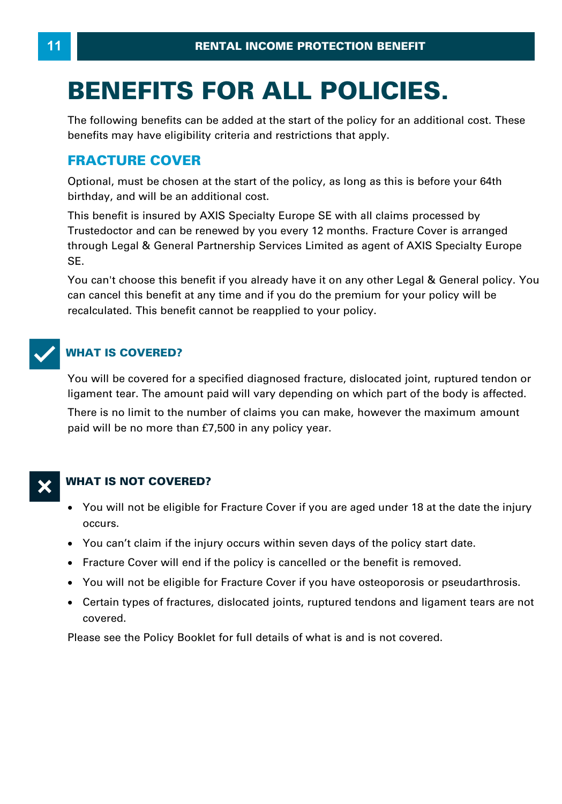# **BENEFITS FOR ALL POLICIES.**

The following benefits can be added at the start of the policy for an additional cost. These benefits may have eligibility criteria and restrictions that apply.

## **FRACTURE COVER**

Optional, must be chosen at the start of the policy, as long as this is before your 64th birthday, and will be an additional cost.

This benefit is insured by AXIS Specialty Europe SE with all claims processed by Trustedoctor and can be renewed by you every 12 months. Fracture Cover is arranged Uptional, must be chosen at the start of the policy, as long as this is before your 64th<br>birthday, and will be an additional cost.<br>This benefit is insured by AXIS Specialty Europe SE with all claims processed by<br>Trustedoct SE. through Legal & General Partnership Services Limited as agent of AXIS Specialty Europe<br>SE.<br>You can't choose this benefit if you already have it on any other Legal & General policy. You

can cancel this benefit at any time and if you do the premium for your policy will be recalculated. This benefit cannot be reapplied to your policy.



## **WHAT IS COVERED?**

You will be covered for a specified diagnosed fracture, dislocated joint, ruptured tendon or ligament tear. The amount paid will vary depending on which part of the body is affected.

There is no limit to the number of claims you can make, however the maximum amount paid will be no more than £7,500 in any policy year.

#### **WHAT IS NOT COVERED?**

- · You will not be eligible for Fracture Cover if you are aged under 18 at the date the injury occurs.
- · You can't claim if the injury occurs within seven days of the policy start date.
- · Fracture Cover will end if the policy is cancelled or the benefit is removed.
- · You will not be eligible for Fracture Cover if you have osteoporosis or pseudarthrosis.
- · Certain types of fractures, dislocated joints, ruptured tendons and ligament tears are not covered.

Please see the Policy Booklet for full details of what is and is not covered.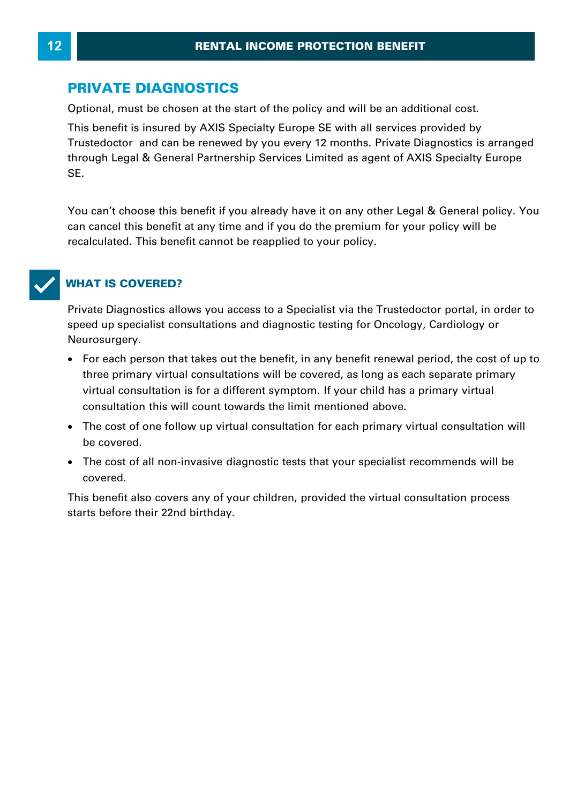## **PRIVATE DIAGNOSTICS**

Optional, must be chosen at the start of the policy and will be an additional cost. This benefit is insured by AXIS Specialty Europe SE with all services provided by Trustedoctor and can be renewed by you every 12 months. Private Diagnostics is arranged Through Legal Americans at the start of the policy and will be an additional cost.<br>This benefit is insured by AXIS Specialty Europe SE with all services provided by<br>Trustedoctor and can be renewed by you every 12 months. P SE. through Legal & General Partnership Services Limited as agent of AXIS Specialty Europe<br>SE.<br>You can't choose this benefit if you already have it on any other Legal & General policy. You

can cancel this benefit at any time and if you do the premium for your policy will be recalculated. This benefit cannot be reapplied to your policy.

## T**WHAT IS COVERED?**

Private Diagnostics allows you access to a Specialist via the Trustedoctor portal, in order to speed up specialist consultations and diagnostic testing for Oncology, Cardiology or Neurosurgery.

- · For each person that takes out the benefit, in any benefit renewal period, the cost of up to three primary virtual consultations will be covered, as long as each separate primary ved up specialist consultations and diagnostic testing for Oficology, Cardiology of<br>urosurgery.<br>For each person that takes out the benefit, in any benefit renewal period, the cost of u<br>three primary virtual consultation is consultation this will count towards the limit mentioned above.
- · The cost of one follow up virtual consultation for each primary virtual consultation will be covered.
- · The cost of all non-invasive diagnostic tests that your specialist recommends will be covered.

This benefit also covers any of your children, provided the virtual consultation process starts before their 22nd birthday.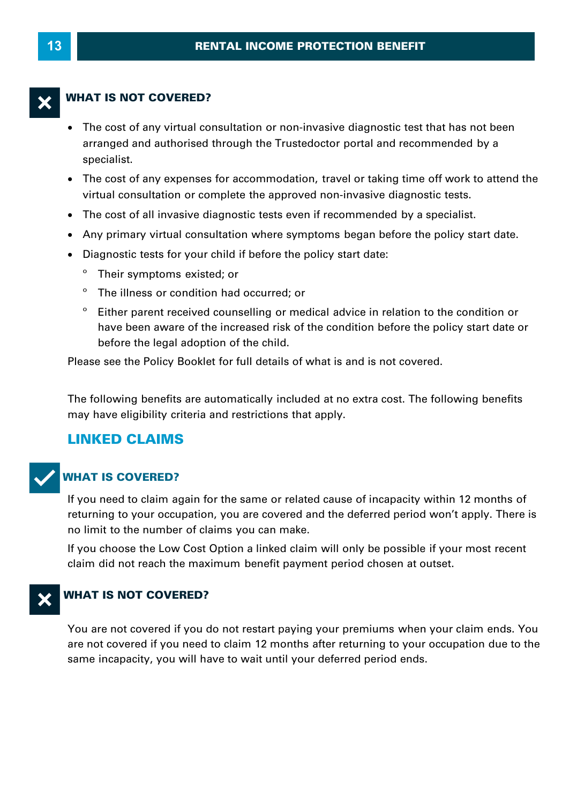#### **WHAT IS NOT COVERED?**

- · The cost of any virtual consultation or non-invasive diagnostic test that has not been arranged and authorised through the Trustedoctor portal and recommended by a specialist.
- · The cost of any expenses for accommodation, travel or taking time off work to attend the virtual consultation or complete the approved non-invasive diagnostic tests.
- · The cost of all invasive diagnostic tests even if recommended by a specialist.
- · Any primary virtual consultation where symptoms began before the policy start date.
- · Diagnostic tests for your child if before the policy start date:
	- Their symptoms existed; or
	- º The illness or condition had occurred; or
	- º Either parent received counselling or medical advice in relation to the condition or have been aware of the increased risk of the condition before the policy start date or before the legal adoption of the child.

Please see the Policy Booklet for full details of what is and is not covered.

The following benefits are automatically included at no extra cost. The following benefits may have eligibility criteria and restrictions that apply.

# **LINKED CLAIMS**



#### **WHAT IS COVERED?**

If you need to claim again for the same or related cause of incapacity within 12 months of returning to your occupation, you are covered and the deferred period won't apply. There is no limit to the number of claims you can make.

If you choose the Low Cost Option a linked claim will only be possible if your most recent claim did not reach the maximum benefit payment period chosen at outset.

#### **WHAT IS NOT COVERED?**

You are not covered if you do not restart paying your premiums when your claim ends. You are not covered if you need to claim 12 months after returning to your occupation due to the same incapacity, you will have to wait until your deferred period ends.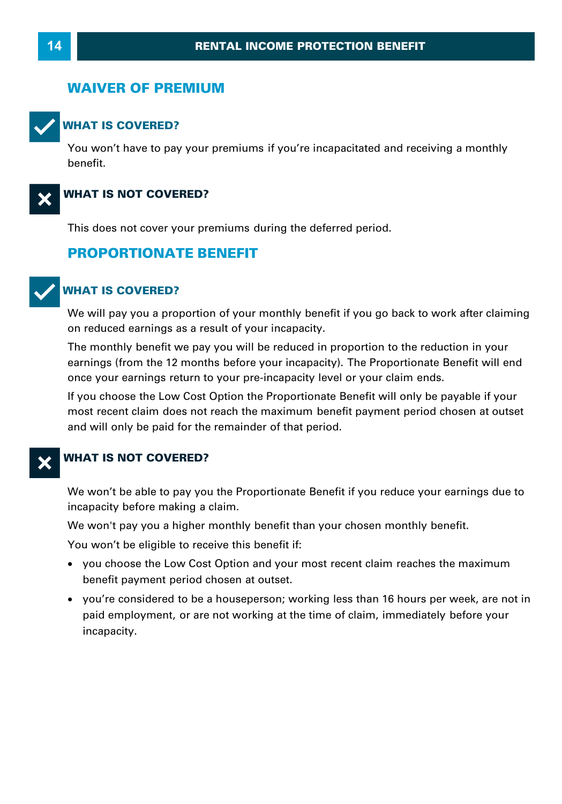#### **WAIVER OF PREMIUM**



#### **WHAT IS COVERED?**

You won't have to pay your premiums if you're incapacitated and receiving a monthly benefit.



#### **WHAT IS NOT COVERED?**

This does not cover your premiums during the deferred period.

#### **PROPORTIONATE BENEFIT**



#### T**WHAT IS COVERED?**

We will pay you a proportion of your monthly benefit if you go back to work after claiming<br>on reduced earnings as a result of your incapacity. **VHAT IS COVERED?**<br>We will pay you a proportion of your monthly benefit if you go back to work after claiming<br>on reduced earnings as a result of your incapacity.<br>The monthly benefit we pay you will be reduced in proportion

earnings (from the 12 months before your incapacity). The Proportionate Benefit will end once your earnings return to your pre-incapacity level or your claim ends.

If you choose the Low Cost Option the Proportionate Benefit will only be payable if your most recent claim does not reach the maximum benefit payment period chosen at outset and will only be paid for the remainder of that period.

#### **WHAT IS NOT COVERED?**

We won't be able to pay you the Proportionate Benefit if you reduce your earnings due to **WHAT IS NOT COVERED?**<br>We won't be able to pay you the Propo<br>incapacity before making a claim.<br>We won't pay you a higher monthly be We won't be able to pay you the Proportionate Benefit if you reduce your earnings<br>incapacity before making a claim.<br>We won't pay you a higher monthly benefit than your chosen monthly benefit.<br>You won't be eligible to recei

You won't be eligible to receive this benefit if:

- · you choose the Low Cost Option and your most recent claim reaches the maximum benefit payment period chosen at outset.
- ·u won't be eligible to receive this benefit if:<br>you choose the Low Cost Option and your most recent claim reaches the maximum<br>benefit payment period chosen at outset.<br>you're considered to be a houseperson; working less tha paid employment, or are not working at the time of claim, immediately before your incapacity.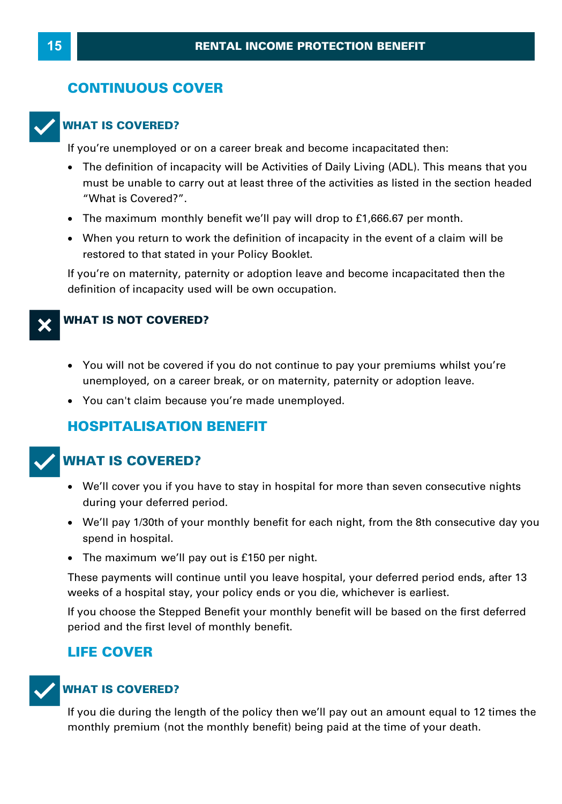# **CONTINUOUS COVER**



**WHAT IS COVERED?**<br>If you're unemployed or on a career break and become incapacitated then:

- The definition of incapacity will be Activities of Daily Living (ADL). This means that you must be unable to carry out at least three of the activities as listed in the section headed "What is Covered?".<br>The maximum monthly benefit we'll pay will drop to £1,666.67 per month.<br>When you return to work the definitio "What is Covered?".
- · The maximum monthly benefit we'll pay will drop to £1,666.67 per month.
- When you return to work the definition of incapacity in the event of a claim will be restored to that stated in your Policy Booklet.

If you're on maternity, paternity or adoption leave and become incapacitated then the definition of incapacity used will be own occupation.

#### **WHAT IS NOT COVERED?**

- · You will not be covered if you do not continue to pay your premiums whilst you're **VHAT IS NOT COVERED?**<br>• You will not be covered if you do not continue to pay your premiums whilst you'<br>unemployed, on a career break, or on maternity, paternity or adoption leave.<br>• You can't claim because you're made un
- You can't claim because you're made unemployed.

## **HOSPITALISATION BENEFIT**



## **WHAT IS COVERED?**

- · We'll cover you if you have to stay in hospital for more than seven consecutive nights during your deferred period.
- · We'll pay 1/30th of your monthly benefit for each night, from the 8th consecutive day you spend in hospital.
- · The maximum we'll pay out is £150 per night.

These payments will continue until you leave hospital, your deferred period ends, after 13 spend in hospital.<br>
• The maximum we'll pay out is £150 per night.<br>
These payments will continue until you leave hospital, your deferred period enc<br>
weeks of a hospital stay, your policy ends or you die, whichever is earli

If you choose the Stepped Benefit your monthly benefit will be based on the first deferred period and the first level of monthly benefit.

#### **LIFE COVER**



#### **WHAT IS COVERED?**

If you die during the length of the policy then we'll pay out an amount equal to 12 times the monthly premium (not the monthly benefit) being paid at the time of your death.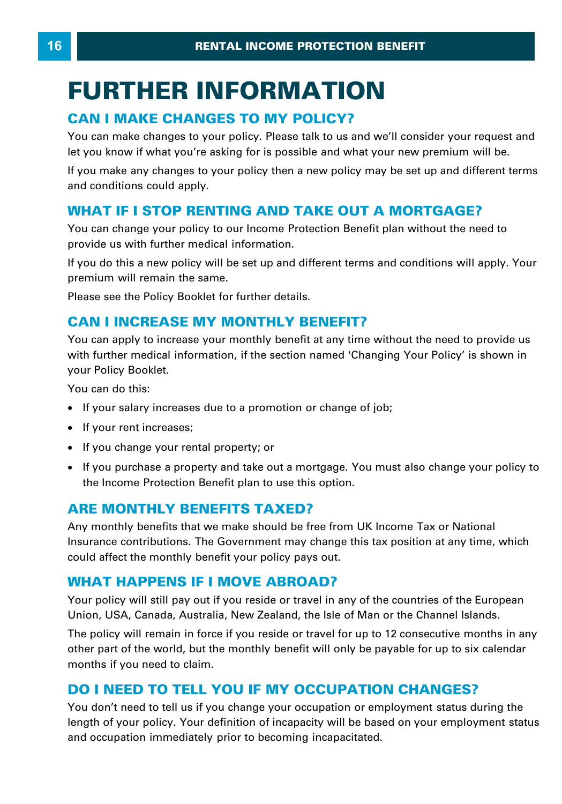# **FURTHER INFORMATION CAN I MAKE CHANGES TO MY POLICY?**<br>
FURTHER INFORMATION<br>
The CHANGES TO MY POLICY?<br>
The Changes to your policy. Please talk to us and we'

You can make changes to your policy. Please talk to us and we'll consider your request and let you know if what you're asking for is possible and what your new premium will be. **CAN I MAKE CHANGES TO MY POLICY?**<br>You can make changes to your policy. Please talk to us and we'll consider your request and<br>let you know if what you're asking for is possible and what your new premium will be.<br>If you mak You can make changes to your policy. Please talk to us and we'll consider your request a<br>let you know if what you're asking for is possible and what your new premium will be.<br>If you make any changes to your policy then a n

and conditions could apply.

You can change your policy to our Income Protection Benefit plan without the need to provide us with further medical information.

**WHAT IF I STOP RENTING AND TAKE OUT A MORTGAGE?**<br>You can change your policy to our Income Protection Benefit plan without the need to<br>provide us with further medical information.<br>If you do this a new policy will be set up premium will remain the same. provide us with further medical information.<br>If you do this a new policy will be set up and different terms and c<br>premium will remain the same.<br>Please see the Policy Booklet for further details.<br>**CAN I INCREASE MY MONTHLY** 

Please see the Policy Booklet for further details.

You can apply to increase your monthly benefit at any time without the need to provide us with further medical information, if the section named 'Changing Your Policy' is shown in your Policy Booklet. If your salary increase your monthly benefit at any time without<br>with further medical information, if the section named 'Changing Yo<br>your Policy Booklet.<br>• If your salary increases due to a promotion or change of job;<br>• If

You can do this:

- ·
- If your rent increases:
- · If you change your rental property; or
- ·If your salary increases due to a promotion or change of job;<br>If your rent increases;<br>If you change your rental property; or<br>If you purchase a property and take out a mortgage. You must also change your policy to<br>the Incom the Income Protection Benefit plan to use this option.

## **ARE MONTHLY BENEFITS TAXED?**

Any monthly benefits that we make should be free from UK Income Tax or National Insurance contributions. The Government may change this tax position at any time, which could affect the monthly benefit your policy pays out. **ARE MONTHLY BENEFITS TAXED?**<br>Any monthly benefits that we make should be free from UK<br>Insurance contributions. The Government may change this t<br>could affect the monthly benefit your policy pays out.<br>WHAT HAPPENS IF I MOVE

Your policy will still pay out if you reside or travel in any of the countries of the European Union, USA, Canada, Australia, New Zealand, the Isle of Man or the Channel Islands.

The policy will remain in force if you reside or travel for up to 12 consecutive months in any other part of the world, but the monthly benefit will only be payable for up to six calendar months if you need to claim. Union, USA, Canada, Australia, New Zealand, the Isle of Man or the Channel Islands.<br>The policy will remain in force if you reside or travel for up to 12 consecutive months in<br>other part of the world, but the monthly benefi

You don't need to tell us if you change your occupation or employment status during the length of your policy. Your definition of incapacity will be based on your employment status and occupation immediately prior to becoming incapacitated.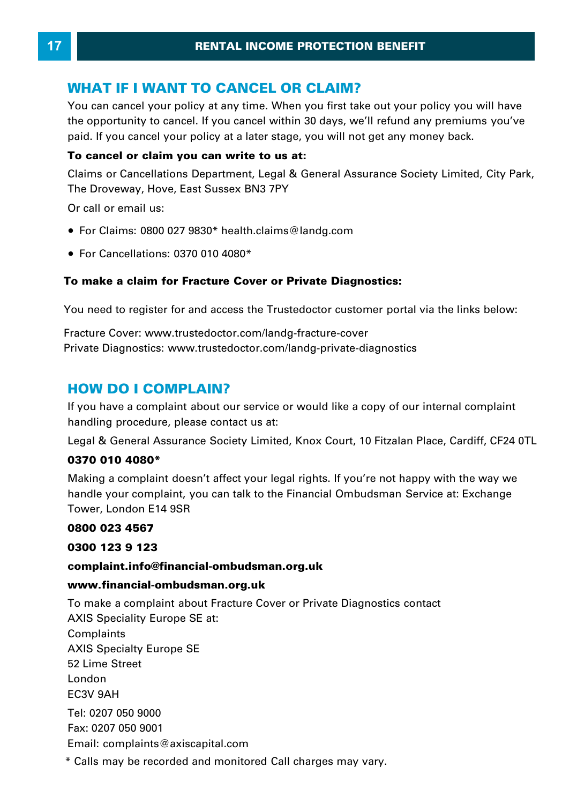**RENTAL INCOME PROTECTION BENALL INCOME PROTECTION BENALL INCOME PROTECTION BENALL INCOME PROTECTION BENALL INCOMENTION CANCEL OR CLAIM?**<br> **Prou can cancel your policy at any time. When you first take out y** You can cancel your policy at any time. When you first take out your policy you will have To can cancel your policy at any time. When you mist take out your policy you will have the opportunity to cancel. If you cancel within 30 days, we'll refund any premiums you've paid. If you cancel your policy at a later s WHAT IF I WANT TO CANCEL OR CLAIM?<br>You can cancel your policy at any time. When you first take out your policy you will the opportunity to cancel. If you cancel within 30 days, we'll refund any premiums you paid. If you ca

#### **To cancel or claim you can write to us at:**

The Droveway, Hove, East Sussex BN3 7PY

Or call or email us:

- · For Claims: 0800 027 9830\* health.claims@landg.com
- · For Cancellations: 0370 010 4080 \*

#### **To make a claim for Fracture Cover or Private Diagnostics:**

You need to register for and access the Trustedoctor customer portal via the links below:

Fracture Cover: [www.trustedoctor.com/landg-fracture-cover](https://www.trustedoctor.com/landg-fracture-cover)  Private Diagnostics: www.trustedoctor.com/landg-private-diagnostics You need to register for and access the<br>Fracture Cover: www.trustedoctor.com/l<br>Private Diagnostics: www.trustedoctor.c<br>**HOW DO I COMPLAIN?**<br>If you have a complaint about our servi

**HOWDO I COMPLAIN?**<br>If you have a complaint about our service or would like a copy of our internal complaint handling procedure, please contact us at: **HOW DO I COMPLAIN?**<br>If you have a complaint about our service or would like a copy of our internal complaint<br>handling procedure, please contact us at:<br>Legal & General Assurance Society Limited, Knox Court, 10 Fitzalan Pla

#### **0370 010 4080 \***

handling procedure, please contact us at:<br>Legal & General Assurance Society Limited, Knox Court, 10 Fitzalan Place, Cardiff, CF24 0TL<br>**0370 010 4080\***<br>Making a complaint doesn't affect your legal rights. If you're not happ making a complaint accord tancet you logar rights. If you're hot happy with the way we<br>handle your complaint, you can talk to the Financial Ombudsman Service at: Exchange<br>Tower, London E14 9SR<br>**0300 123 9 123**<br>complaint.in Tower, London E14 9SR

#### **0800 023 4567**

#### **complaint.info@financial-ombudsman.org.uk**

#### **www.financial-ombudsman.org.uk**

0300 123 9 123<br>complaint.info@financial-ombudsman.org.uk<br>www.financial-ombudsman.org.uk<br>To make a complaint about Fracture Cover or Private Diagnostics contact AXIS Speciality Europe SE at: Complaints AXIS Specialty Europe SE 52 Lime Street London EC3V 9AH Tel: 0207 050 9000 Fax: 0207 050 9001 Email: complaints@axiscapital.com